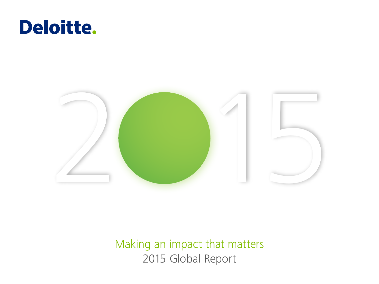



Making an impact that matters 2015 Global Report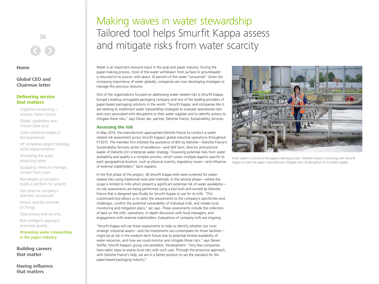36

**Home**

**Global CEO and Chairman letter**

## **Delivering service that matters**

Cognitive computing = smarter, faster choices

Global capabilities and China's State Grid

Cyber resilience begins in the boardroom

HP completes largest Workday HCM implementation

Innovating the audit, attracting talent

Equipping clients to manage, recover from crises

Norwegian oil company builds a platform for growth

Irish pharma company's dramatic turnaround

Drivers and the Internet of Things

Data privacy and security

Risk-intelligent approach promotes quality

Promoting water stewardship in the paper industry

**Building careers that matter**

**Having influence that matters**

## Making waves in water stewardship Tailored tool helps Smurfit Kappa assess and mitigate risks from water scarcity

Water is an important resource input in the pulp and paper industry. During the paper-making process, most of the water withdrawn from surface or groundwater is returned to its source, with about 10 percent of the water "consumed." Given the increasing importance of water globally, companies are now developing strategies to manage this precious resource.

One of the organizations focused on addressing water related risks is Smurfit Kappa, Europe's leading corrugated packaging company and one of the leading providers of paper-based packaging solutions in the world. "Smurfit Kappa, and companies like it, are seeking to implement water stewardship strategies to evaluate operational risks and costs associated with disruptions to their water supplies and to identify actions to mitigate these risks," says Olivier Jan, partner, Deloitte France, Sustainability Services.

## **Assessing the risk**

In May 2014, the manufacturer approached Deloitte France to conduct a waterrelated risk assessment across Smurfit Kappa's global industrial operations throughout FY2015. The member firm enlisted the assistance of BIO by Deloitte—Deloitte France's Sustainability Services center of excellence—and Will Sarni, director and practice leader of Deloitte US's enterprise water strategy. "Assessing potential risks from water availability and quality is a complex process, which covers multiple aspects specific to each geographical location, such as physical scarcity, regulatory issues—and influence of external stakeholders," Sarni explains.

In the first phase of the project, 36 Smurfit Kappa mills were screened for waterrelated risks using traditional tools and methods. In the second phase—where the scope is limited to mills which present a significant potential risk of water availabilityon-site assessments are being performed using a tool built and owned by Deloitte France that is designed specifically for Smurfit Kappa to use for its mills. "This customized tool allows us to tailor the assessments to the company's specificities and challenges, confirm the potential vulnerability of individual mills, and initiate local monitoring and mitigation plans," Jan says. These assessments include the collection of data on the mills' operations, in-depth discussion with local managers, and engagement with external stakeholders. Evaluations of company mills are ongoing.

"Smurfit Kappa will use these assessments to help us identify whether our most strategic industrial assets—and the investments we contemplate for those facilities might be at risk in the medium-term future due to potential limited availability of water resources, and how we could monitor and mitigate those risks," says Steven Stoffer, Smurfit Kappa's group vice president, Development. "Very few companies have taken steps to assess local risks with such care. Through this proactive approach, with Deloitte France's help, we are in a better position to set the standard for the paper-based packaging industry."



Fresh water is critical to the paper-making process. Deloitte France is working with Smurfit Kappa to help the paper manufacturer mitigate risks of disruption to its water supply.